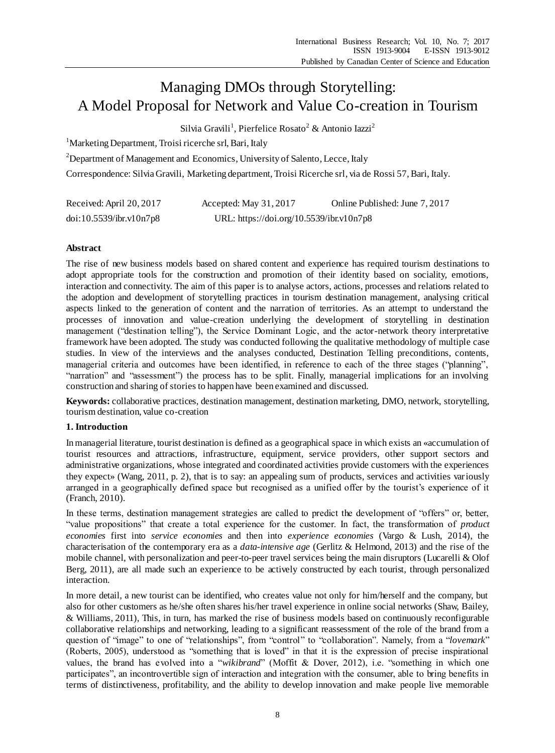# Managing DMOs through Storytelling: A Model Proposal for Network and Value Co-creation in Tourism

Silvia Gravili<sup>1</sup>, Pierfelice Rosato<sup>2</sup> & Antonio Iazzi<sup>2</sup>

<sup>1</sup>Marketing Department, Troisi ricerche srl, Bari, Italy

<sup>2</sup>Department of Management and Economics, University of Salento, Lecce, Italy

Correspondence: Silvia Gravili, Marketing department, Troisi Ricerche srl, via de Rossi 57, Bari, Italy.

| Received: April 20, 2017 | Accepted: May 31, 2017                   | Online Published: June 7, 2017 |
|--------------------------|------------------------------------------|--------------------------------|
| doi:10.5539/ibr.v10n7p8  | URL: https://doi.org/10.5539/ibr.v10n7p8 |                                |

## **Abstract**

The rise of new business models based on shared content and experience has required tourism destinations to adopt appropriate tools for the construction and promotion of their identity based on sociality, emotions, interaction and connectivity. The aim of this paper is to analyse actors, actions, processes and relations related to the adoption and development of storytelling practices in tourism destination management, analysing critical aspects linked to the generation of content and the narration of territories. As an attempt to understand the processes of innovation and value-creation underlying the development of storytelling in destination management ("destination telling"), the Service Dominant Logic, and the actor-network theory interpretative framework have been adopted. The study was conducted following the qualitative methodology of multiple case studies. In view of the interviews and the analyses conducted, Destination Telling preconditions, contents, managerial criteria and outcomes have been identified, in reference to each of the three stages ("planning", "narration" and "assessment") the process has to be split. Finally, managerial implications for an involving construction and sharing of stories to happen have been examined and discussed.

**Keywords:** collaborative practices, destination management, destination marketing, DMO, network, storytelling, tourism destination, value co-creation

## **1. Introduction**

In managerial literature, tourist destination is defined as a geographical space in which exists an «accumulation of tourist resources and attractions, infrastructure, equipment, service providers, other support sectors and administrative organizations, whose integrated and coordinated activities provide customers with the experiences they expect» (Wang, 2011, p. 2), that is to say: an appealing sum of products, services and activities variously arranged in a geographically defined space but recognised as a unified offer by the tourist's experience of it (Franch, 2010).

In these terms, destination management strategies are called to predict the development of "offers" or, better, "value propositions" that create a total experience for the customer. In fact, the transformation of *product economies* first into *service economies* and then into *experience economies* (Vargo & Lush, 2014), the characterisation of the contemporary era as a *data-intensive age* (Gerlitz & Helmond, 2013) and the rise of the mobile channel, with personalization and peer-to-peer travel services being the main disruptors (Lucarelli & Olof Berg, 2011), are all made such an experience to be actively constructed by each tourist, through personalized interaction.

In more detail, a new tourist can be identified, who creates value not only for him/herself and the company, but also for other customers as he/she often shares his/her travel experience in online social networks (Shaw, Bailey, & Williams, 2011), This, in turn, has marked the rise of business models based on continuously reconfigurable collaborative relationships and networking, leading to a significant reassessment of the role of the brand from a question of "image" to one of "relationships", from "control" to "collaboration". Namely, from a "*lovemark*" (Roberts, 2005), understood as "something that is loved" in that it is the expression of precise inspirational values, the brand has evolved into a "*wikibrand*" (Moffit & Dover, 2012), i.e. "something in which one participates", an incontrovertible sign of interaction and integration with the consumer, able to bring benefits in terms of distinctiveness, profitability, and the ability to develop innovation and make people live memorable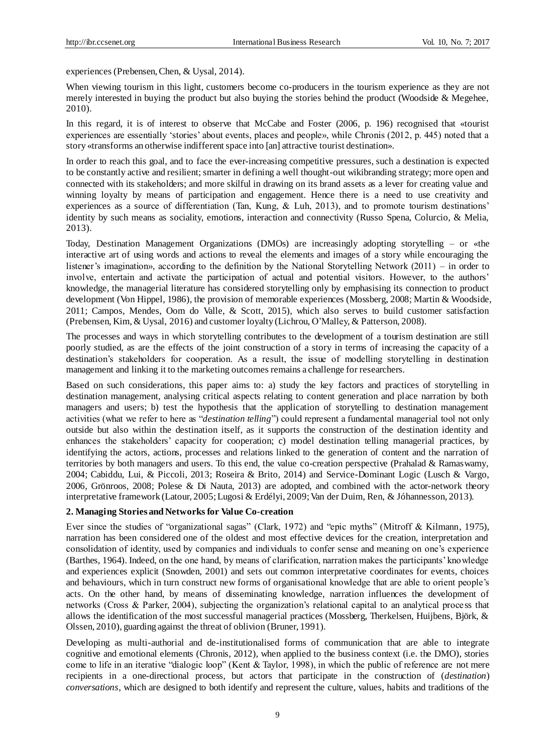experiences (Prebensen, Chen, & Uysal, 2014).

When viewing tourism in this light, customers become co-producers in the tourism experience as they are not merely interested in buying the product but also buying the stories behind the product (Woodside & Megehee, 2010).

In this regard, it is of interest to observe that McCabe and Foster (2006, p. 196) recognised that «tourist experiences are essentially 'stories' about events, places and people», while Chronis (2012, p. 445) noted that a story «transforms an otherwise indifferent space into [an] attractive tourist destination».

In order to reach this goal, and to face the ever-increasing competitive pressures, such a destination is expected to be constantly active and resilient; smarter in defining a well thought-out wikibranding strategy; more open and connected with its stakeholders; and more skilful in drawing on its brand assets as a lever for creating value and winning loyalty by means of participation and engagement. Hence there is a need to use creativity and experiences as a source of differentiation (Tan, Kung, & Luh, 2013), and to promote tourism destinations' identity by such means as sociality, emotions, interaction and connectivity (Russo Spena, Colurcio, & Melia, 2013).

Today, Destination Management Organizations (DMOs) are increasingly adopting storytelling – or «the interactive art of using words and actions to reveal the elements and images of a story while encouraging the listener's imagination», according to the definition by the National Storytelling Network (2011) – in order to involve, entertain and activate the participation of actual and potential visitors. However, to the authors' knowledge, the managerial literature has considered storytelling only by emphasising its connection to product development (Von Hippel, 1986), the provision of memorable experiences (Mossberg, 2008; Martin & Woodside, 2011; Campos, Mendes, Oom do Valle, & Scott, 2015), which also serves to build customer satisfaction (Prebensen, Kim, & Uysal, 2016) and customer loyalty (Lichrou, O'Malley, & Patterson, 2008).

The processes and ways in which storytelling contributes to the development of a tourism destination are still poorly studied, as are the effects of the joint construction of a story in terms of increasing the capacity of a destination's stakeholders for cooperation. As a result, the issue of modelling storytelling in destination management and linking it to the marketing outcomes remains a challenge for researchers.

Based on such considerations, this paper aims to: a) study the key factors and practices of storytelling in destination management, analysing critical aspects relating to content generation and place narration by both managers and users; b) test the hypothesis that the application of storytelling to destination management activities (what we refer to here as "*destination telling*") could represent a fundamental managerial tool not only outside but also within the destination itself, as it supports the construction of the destination identity and enhances the stakeholders' capacity for cooperation; c) model destination telling managerial practices, by identifying the actors, actions, processes and relations linked to the generation of content and the narration of territories by both managers and users. To this end, the value co-creation perspective (Prahalad & Ramaswamy, 2004; Cabiddu, Lui, & Piccoli, 2013; Roseira & Brito, 2014) and Service-Dominant Logic (Lusch & Vargo, 2006, Grönroos, 2008; Polese & Di Nauta, 2013) are adopted, and combined with the actor-network theory interpretative framework (Latour, 2005; Lugosi & Erdélyi, 2009; Van der Duim, Ren, & Jóhannesson, 2013).

#### **2. Managing Stories and Networks for Value Co-creation**

Ever since the studies of "organizational sagas" (Clark, 1972) and "epic myths" (Mitroff & Kilmann, 1975), narration has been considered one of the oldest and most effective devices for the creation, interpretation and consolidation of identity, used by companies and individuals to confer sense and meaning on one's experience (Barthes, 1964). Indeed, on the one hand, by means of clarification, narration makes the participants' knowledge and experiences explicit (Snowden, 2001) and sets out common interpretative coordinates for events, choices and behaviours, which in turn construct new forms of organisational knowledge that are able to orient people's acts. On the other hand, by means of disseminating knowledge, narration influences the development of networks (Cross & Parker, 2004), subjecting the organization's relational capital to an analytical proce ss that allows the identification of the most successful managerial practices (Mossberg, Therkelsen, Huijbens, Björk, & Olssen, 2010), guarding against the threat of oblivion (Bruner, 1991).

Developing as multi-authorial and de-institutionalised forms of communication that are able to integrate cognitive and emotional elements (Chronis, 2012), when applied to the business context (i.e. the DMO), stories come to life in an iterative "dialogic loop" (Kent & Taylor, 1998), in which the public of reference are not mere recipients in a one-directional process, but actors that participate in the construction of (*destination*) *conversations*, which are designed to both identify and represent the culture, values, habits and traditions of the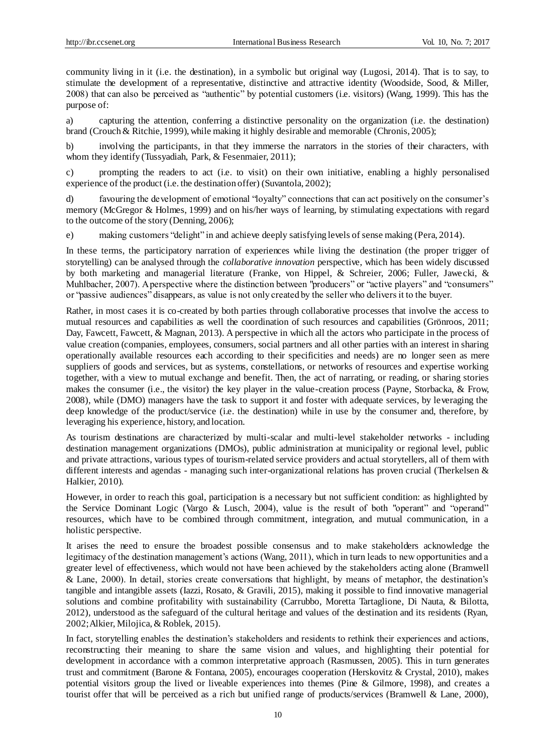community living in it (i.e. the destination), in a symbolic but original way (Lugosi, 2014). That is to say, to stimulate the development of a representative, distinctive and attractive identity (Woodside, Sood, & Miller, 2008) that can also be perceived as "authentic" by potential customers (i.e. visitors) (Wang, 1999). This has the purpose of:

a) capturing the attention, conferring a distinctive personality on the organization (i.e. the destination) brand (Crouch & Ritchie, 1999), while making it highly desirable and memorable (Chronis, 2005);

b) involving the participants, in that they immerse the narrators in the stories of their characters, with whom they identify (Tussyadiah, Park, & Fesenmaier, 2011);

c) prompting the readers to act (i.e. to visit) on their own initiative, enabling a highly personalised experience of the product (i.e. the destination offer) (Suvantola, 2002);

d) favouring the development of emotional "loyalty" connections that can act positively on the consumer's memory (McGregor & Holmes, 1999) and on his/her ways of learning, by stimulating expectations with regard to the outcome of the story (Denning, 2006);

e) making customers "delight" in and achieve deeply satisfying levels of sense making (Pera, 2014).

In these terms, the participatory narration of experiences while living the destination (the proper trigger of storytelling) can be analysed through the *collaborative innovation* perspective, which has been widely discussed by both marketing and managerial literature (Franke, von Hippel, & Schreier, 2006; Fuller, Jawe cki, & Muhlbacher, 2007). A perspective where the distinction between "producers" or "active players" and "consumers" or "passive audiences" disappears, as value is not only created by the seller who delivers it to the buyer.

Rather, in most cases it is co-created by both parties through collaborative processes that involve the access to mutual resources and capabilities as well the coordination of such resources and capabilities (Grönroos, 2011; Day, Fawcett, Fawcett, & Magnan, 2013). A perspective in which all the actors who participate in the process of value creation (companies, employees, consumers, social partners and all other parties with an interest in sharing operationally available resources each according to their specificities and needs) are no longer seen as mere suppliers of goods and services, but as systems, constellations, or networks of resources and expertise working together, with a view to mutual exchange and benefit. Then, the act of narrating, or reading, or sharing stories makes the consumer (i.e., the visitor) the key player in the value-creation process (Payne, Storbacka, & Frow, 2008), while (DMO) managers have the task to support it and foster with adequate services, by leveraging the deep knowledge of the product/service (i.e. the destination) while in use by the consumer and, therefore, by leveraging his experience, history, and location.

As tourism destinations are characterized by multi-scalar and multi-level stakeholder networks - including destination management organizations (DMOs), public administration at municipality or regional level, public and private attractions, various types of tourism-related service providers and actual storytellers, all of them with different interests and agendas - managing such inter-organizational relations has proven crucial (Therkelsen & Halkier, 2010).

However, in order to reach this goal, participation is a necessary but not sufficient condition: as highlighted by the Service Dominant Logic (Vargo & Lusch, 2004), value is the result of both "operant" and "operand" resources, which have to be combined through commitment, integration, and mutual communication, in a holistic perspective.

It arises the need to ensure the broadest possible consensus and to make stakeholders acknowledge the legitimacy of the destination management's actions (Wang, 2011), which in turn leads to new opportunities and a greater level of effectiveness, which would not have been achieved by the stakeholders acting alone (Bramwell & Lane, 2000). In detail, stories create conversations that highlight, by means of metaphor, the destination's tangible and intangible assets (Iazzi, Rosato, & Gravili, 2015), making it possible to find innovative managerial solutions and combine profitability with sustainability (Carrubbo, Moretta Tartaglione, Di Nauta, & Bilotta, 2012), understood as the safeguard of the cultural heritage and values of the destination and its residents (Ryan, 2002; Alkier, Milojica, & Roblek, 2015).

In fact, storytelling enables the destination's stakeholders and residents to rethink their experiences and actions, reconstructing their meaning to share the same vision and values, and highlighting their potential for development in accordance with a common interpretative approach (Rasmussen, 2005). This in turn generates trust and commitment (Barone & Fontana, 2005), encourages cooperation (Herskovitz & Crystal, 2010), makes potential visitors group the lived or liveable experiences into themes (Pine & Gilmore, 1998), and creates a tourist offer that will be perceived as a rich but unified range of products/services (Bramwell & Lane, 2000),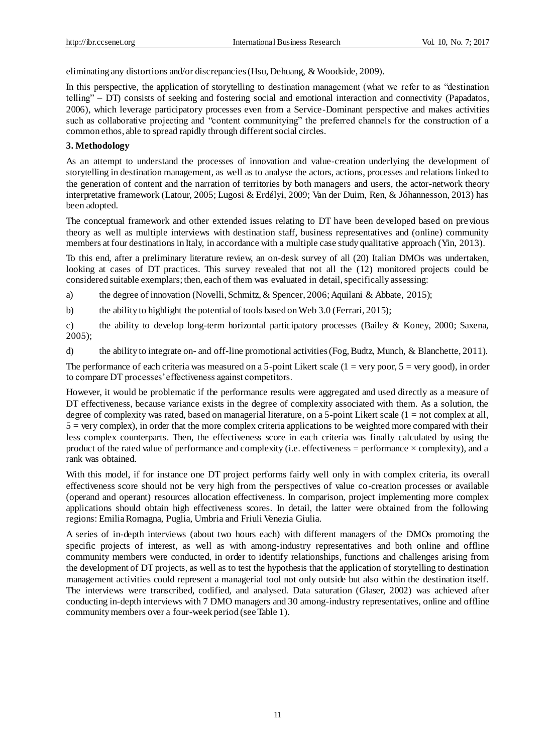eliminating any distortions and/or discrepancies (Hsu, Dehuang, & Woodside, 2009).

In this perspective, the application of storytelling to destination management (what we refer to as "destination telling" – DT) consists of seeking and fostering social and emotional interaction and connectivity (Papadatos, 2006), which leverage participatory processes even from a Service-Dominant perspective and makes activities such as collaborative projecting and "content communitying" the preferred channels for the construction of a common ethos, able to spread rapidly through different social circles.

## **3. Methodology**

As an attempt to understand the processes of innovation and value-creation underlying the development of storytelling in destination management, as well as to analyse the actors, actions, processes and relations linked to the generation of content and the narration of territories by both managers and users, the actor-network theory interpretative framework (Latour, 2005; Lugosi & Erdélyi, 2009; Van der Duim, Ren, & Jóhannesson, 2013) has been adopted.

The conceptual framework and other extended issues relating to DT have been developed based on previous theory as well as multiple interviews with destination staff, business representatives and (online) community members at four destinations in Italy, in accordance with a multiple case study qualitative approach (Yin, 2013).

To this end, after a preliminary literature review, an on-desk survey of all (20) Italian DMOs was undertaken, looking at cases of DT practices. This survey revealed that not all the (12) monitored projects could be considered suitable exemplars; then, each of them was evaluated in detail, specifically assessing:

- a) the degree of innovation (Novelli, Schmitz, & Spencer, 2006; Aquilani & Abbate, 2015);
- b) the ability to highlight the potential of tools based on Web 3.0 (Ferrari, 2015);

c) the ability to develop long-term horizontal participatory processes (Bailey & Koney, 2000; Saxena, 2005);

d) the ability to integrate on- and off-line promotional activities (Fog, Budtz, Munch, & Blanchette, 2011).

The performance of each criteria was measured on a 5-point Likert scale  $(1 = \text{very poor}, 5 = \text{very good})$ , in order to compare DT processes' effectiveness against competitors.

However, it would be problematic if the performance results were aggregated and used directly as a measure of DT effectiveness, because variance exists in the degree of complexity associated with them. As a solution, the degree of complexity was rated, based on managerial literature, on a 5-point Likert scale (1 = not complex at all, 5 = very complex), in order that the more complex criteria applications to be weighted more compared with their less complex counterparts. Then, the effectiveness score in each criteria was finally calculated by using the product of the rated value of performance and complexity (i.e. effectiveness = performance  $\times$  complexity), and a rank was obtained.

With this model, if for instance one DT project performs fairly well only in with complex criteria, its overall effectiveness score should not be very high from the perspectives of value co-creation processes or available (operand and operant) resources allocation effectiveness. In comparison, project implementing more complex applications should obtain high effectiveness scores. In detail, the latter were obtained from the following regions: Emilia Romagna, Puglia, Umbria and Friuli Venezia Giulia.

A series of in-depth interviews (about two hours each) with different managers of the DMOs promoting the specific projects of interest, as well as with among-industry representatives and both online and offline community members were conducted, in order to identify relationships, functions and challenges arising from the development of DT projects, as well as to test the hypothesis that the application of storytelling to destination management activities could represent a managerial tool not only outside but also within the destination itself. The interviews were transcribed, codified, and analysed. Data saturation (Glaser, 2002) was achieved after conducting in-depth interviews with 7 DMO managers and 30 among-industry representatives, online and offline community members over a four-week period (see Table 1).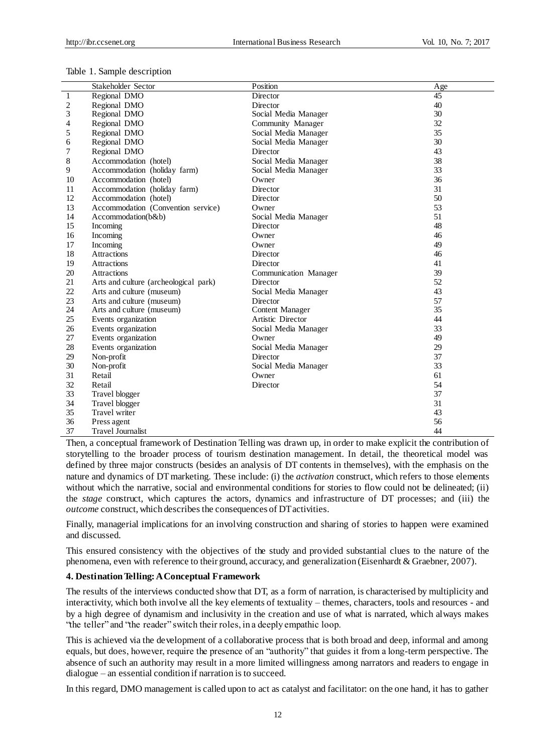#### Table 1. Sample description

|                         | Stakeholder Sector                    | Position              | Age |
|-------------------------|---------------------------------------|-----------------------|-----|
| $\mathbf{1}$            | Regional DMO                          | Director              | 45  |
| $\overline{\mathbf{c}}$ | Regional DMO                          | Director              | 40  |
| 3                       | Regional DMO                          | Social Media Manager  | 30  |
| 4                       | Regional DMO                          | Community Manager     | 32  |
| 5                       | Regional DMO                          | Social Media Manager  | 35  |
| 6                       | Regional DMO                          | Social Media Manager  | 30  |
| 7                       | Regional DMO                          | Director              | 43  |
| 8                       | Accommodation (hotel)                 | Social Media Manager  | 38  |
| 9                       | Accommodation (holiday farm)          | Social Media Manager  | 33  |
| 10                      | Accommodation (hotel)                 | Owner                 | 36  |
| 11                      | Accommodation (holiday farm)          | Director              | 31  |
| 12                      | Accommodation (hotel)                 | Director              | 50  |
| 13                      | Accommodation (Convention service)    | Owner                 | 53  |
| 14                      | Accommodation(b&b)                    | Social Media Manager  | 51  |
| 15                      | Incoming                              | Director              | 48  |
| 16                      | Incoming                              | Owner                 | 46  |
| 17                      | Incoming                              | Owner                 | 49  |
| 18                      | <b>Attractions</b>                    | Director              | 46  |
| 19                      | <b>Attractions</b>                    | Director              | 41  |
| 20                      | Attractions                           | Communication Manager | 39  |
| 21                      | Arts and culture (archeological park) | Director              | 52  |
| 22                      | Arts and culture (museum)             | Social Media Manager  | 43  |
| 23                      | Arts and culture (museum)             | Director              | 57  |
| 24                      | Arts and culture (museum)             | Content Manager       | 35  |
| 25                      | Events organization                   | Artistic Director     | 44  |
| 26                      | Events organization                   | Social Media Manager  | 33  |
| 27                      | Events organization                   | Owner                 | 49  |
| 28                      | Events organization                   | Social Media Manager  | 29  |
| 29                      | Non-profit                            | Director              | 37  |
| 30                      | Non-profit                            | Social Media Manager  | 33  |
| 31                      | Retail                                | Owner                 | 61  |
| 32                      | Retail                                | Director              | 54  |
| 33                      | Travel blogger                        |                       | 37  |
| 34                      | Travel blogger                        |                       | 31  |
| 35                      | Travel writer                         |                       | 43  |
| 36                      | Press agent                           |                       | 56  |
| 37                      | Travel Journalist                     |                       | 44  |

Then, a conceptual framework of Destination Telling was drawn up, in order to make explicit the contribution of storytelling to the broader process of tourism destination management. In detail, the theoretical model was defined by three major constructs (besides an analysis of DT contents in themselves), with the emphasis on the nature and dynamics of DT marketing. These include: (i) the *activation* construct, which refers to those elements without which the narrative, social and environmental conditions for stories to flow could not be delineated; (ii) the *stage* construct, which captures the actors, dynamics and infrastructure of DT processes; and (iii) the *outcome* construct, which describes the consequences of DT activities.

Finally, managerial implications for an involving construction and sharing of stories to happen were examined and discussed.

This ensured consistency with the objectives of the study and provided substantial clues to the nature of the phenomena, even with reference to their ground, accuracy, and generalization (Eisenhardt & Graebner, 2007).

#### **4. Destination Telling: A Conceptual Framework**

The results of the interviews conducted show that DT, as a form of narration, is characterised by multiplicity and interactivity, which both involve all the key elements of textuality – themes, characters, tools and resources - and by a high degree of dynamism and inclusivity in the creation and use of what is narrated, which always makes "the teller" and "the reader" switch their roles, in a deeply empathic loop.

This is achieved via the development of a collaborative process that is both broad and deep, informal and among equals, but does, however, require the presence of an "authority" that guides it from a long-term perspective. The absence of such an authority may result in a more limited willingness among narrators and readers to engage in dialogue – an essential condition if narration is to succeed.

In this regard, DMO management is called upon to act as catalyst and facilitator: on the one hand, it has to gather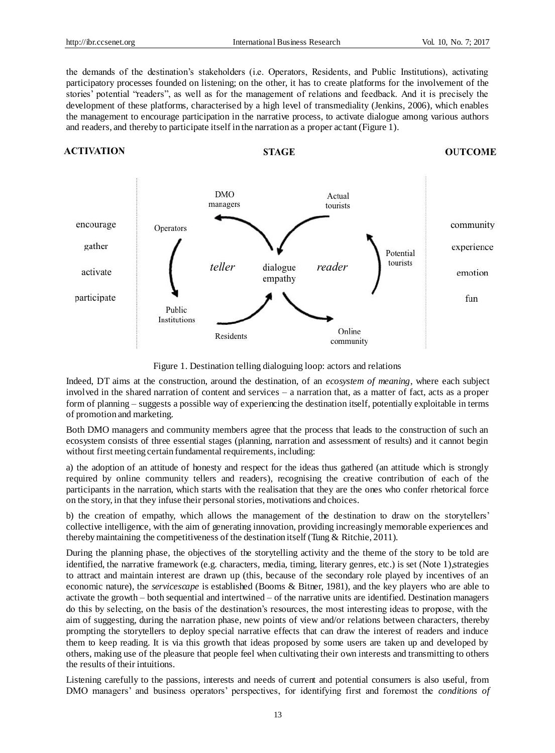the demands of the destination's stakeholders (i.e. Operators, Residents, and Public Institutions), activating participatory processes founded on listening; on the other, it has to create platforms for the involvement of the stories' potential "readers", as well as for the management of relations and feedback. And it is precisely the development of these platforms, characterised by a high level of transmediality (Jenkins, 2006), which enables the management to encourage participation in the narrative process, to activate dialogue among various authors and readers, and thereby to participate itself in the narration as a proper actant (Figure 1).

#### **ACTIVATION**

**STAGE** 

**OUTCOME** 



Figure 1. Destination telling dialoguing loop: actors and relations

Indeed, DT aims at the construction, around the destination, of an *ecosystem of meaning*, where each subject involved in the shared narration of content and services – a narration that, as a matter of fact, acts as a proper form of planning – suggests a possible way of experiencing the destination itself, potentially exploitable in terms of promotion and marketing.

Both DMO managers and community members agree that the process that leads to the construction of such an ecosystem consists of three essential stages (planning, narration and assessment of results) and it cannot begin without first meeting certain fundamental requirements, including:

a) the adoption of an attitude of honesty and respect for the ideas thus gathered (an attitude which is strongly required by online community tellers and readers), recognising the creative contribution of each of the participants in the narration, which starts with the realisation that they are the ones who confer rhetorical force on the story, in that they infuse their personal stories, motivations and choices.

b) the creation of empathy, which allows the management of the destination to draw on the storytellers' collective intelligence, with the aim of generating innovation, providing increasingly memorable experiences and thereby maintaining the competitiveness of the destination itself (Tung & Ritchie, 2011).

During the planning phase, the objectives of the storytelling activity and the theme of the story to be told are identified, the narrative framework (e.g. characters, media, timing, literary genres, etc.) is set (Note 1),strategies to attract and maintain interest are drawn up (this, because of the secondary role played by incentives of an economic nature), the *servicescape* is established (Booms & Bitner, 1981), and the key players who are able to activate the growth – both sequential and intertwined – of the narrative units are identified. Destination managers do this by selecting, on the basis of the destination's resources, the most interesting ideas to propose, with the aim of suggesting, during the narration phase, new points of view and/or relations between characters, thereby prompting the storytellers to deploy special narrative effects that can draw the interest of readers and induce them to keep reading. It is via this growth that ideas proposed by some users are taken up and developed by others, making use of the pleasure that people feel when cultivating their own interests and transmitting to others the results of their intuitions.

Listening carefully to the passions, interests and needs of current and potential consumers is also useful, from DMO managers' and business operators' perspectives, for identifying first and foremost the *conditions of*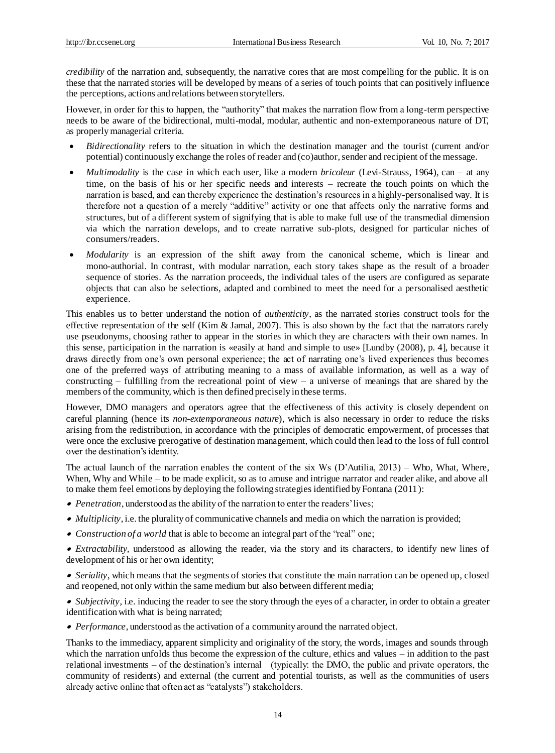*credibility* of the narration and, subsequently, the narrative cores that are most compelling for the public. It is on these that the narrated stories will be developed by means of a series of touch points that can positively influence the perceptions, actions and relations between storytellers.

However, in order for this to happen, the "authority" that makes the narration flow from a long-term perspective needs to be aware of the bidirectional, multi-modal, modular, authentic and non-extemporaneous nature of DT, as properly managerial criteria.

- *Bidirectionality* refers to the situation in which the destination manager and the tourist (current and/or potential) continuously exchange the roles of reader and (co)author, sender and recipient of the message.
- *Multimodality* is the case in which each user, like a modern *bricoleur* (Levi-Strauss, 1964), can at any time, on the basis of his or her specific needs and interests – recreate the touch points on which the narration is based, and can thereby experience the destination's resources in a highly-personalised way. It is therefore not a question of a merely "additive" activity or one that affects only the narrative forms and structures, but of a different system of signifying that is able to make full use of the transmedial dimension via which the narration develops, and to create narrative sub-plots, designed for particular niches of consumers/readers.
- *Modularity* is an expression of the shift away from the canonical scheme, which is linear and mono-authorial. In contrast, with modular narration, each story takes shape as the result of a broader sequence of stories. As the narration proceeds, the individual tales of the users are configured as separate objects that can also be selections, adapted and combined to meet the need for a personalised aesthetic experience.

This enables us to better understand the notion of *authenticity*, as the narrated stories construct tools for the effective representation of the self (Kim & Jamal, 2007). This is also shown by the fact that the narrators rarely use pseudonyms, choosing rather to appear in the stories in which they are characters with their own names. In this sense, participation in the narration is «easily at hand and simple to use» [Lundby (2008), p. 4], because it draws directly from one's own personal experience; the act of narrating one's lived experiences thus becomes one of the preferred ways of attributing meaning to a mass of available information, as well as a way of constructing – fulfilling from the recreational point of view – a universe of meanings that are shared by the members of the community, which is then defined precisely in these terms.

However, DMO managers and operators agree that the effectiveness of this activity is closely dependent on careful planning (hence its *non-extemporaneous nature*), which is also necessary in order to reduce the risks arising from the redistribution, in accordance with the principles of democratic empowerment, of processes that were once the exclusive prerogative of destination management, which could then lead to the loss of full control over the destination's identity.

The actual launch of the narration enables the content of the six Ws  $(D'Autilia, 2013) - Who$ , What, Where, When, Why and While – to be made explicit, so as to amuse and intrigue narrator and reader alike, and above all to make them feel emotions by deploying the following strategies identified by Fontana (2011):

- *Penetration*, understood as the ability of the narration to enter the readers' lives;
- *Multiplicity*, i.e. the plurality of communicative channels and media on which the narration is provided;
- *Construction of a world* that is able to become an integral part of the "real" one;

 *Extractability,* understood as allowing the reader, via the story and its characters, to identify new lines of development of his or her own identity;

 *Seriality*, which means that the segments of stories that constitute the main narration can be opened up, closed and reopened, not only within the same medium but also between different media;

 *Subjectivity*, i.e. inducing the reader to see the story through the eyes of a character, in order to obtain a greater identification with what is being narrated;

*Performance*, understood as the activation of a community around the narrated object.

Thanks to the immediacy, apparent simplicity and originality of the story, the words, images and sounds through which the narration unfolds thus become the expression of the culture, ethics and values – in addition to the past relational investments – of the destination's internal (typically: the DMO, the public and private operators, the community of residents) and external (the current and potential tourists, as well as the communities of users already active online that often act as "catalysts") stakeholders.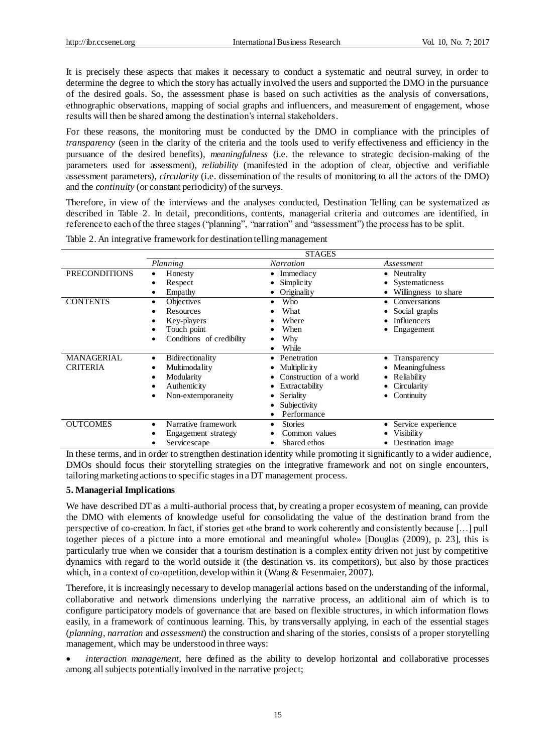It is precisely these aspects that makes it necessary to conduct a systematic and neutral survey, in order to determine the degree to which the story has actually involved the users and supported the DMO in the pursuance of the desired goals. So, the assessment phase is based on such activities as the analysis of conversations, ethnographic observations, mapping of social graphs and influencers, and measurement of engagement, whose results will then be shared among the destination's internal stakeholders.

For these reasons, the monitoring must be conducted by the DMO in compliance with the principles of *transparency* (seen in the clarity of the criteria and the tools used to verify effectiveness and efficiency in the pursuance of the desired benefits), *meaningfulness* (i.e. the relevance to strategic decision-making of the parameters used for assessment), *reliability* (manifested in the adoption of clear, objective and verifiable assessment parameters), *circularity* (i.e. dissemination of the results of monitoring to all the actors of the DMO) and the *continuity* (or constant periodicity) of the surveys.

Therefore, in view of the interviews and the analyses conducted, Destination Telling can be systematized as described in Table 2. In detail, preconditions, contents, managerial criteria and outcomes are identified, in reference to each of the three stages ("planning", "narration" and "assessment") the process has to be split.

|                                      |                                                                                           | <b>STAGES</b>                                                                                                                    |                                                                            |
|--------------------------------------|-------------------------------------------------------------------------------------------|----------------------------------------------------------------------------------------------------------------------------------|----------------------------------------------------------------------------|
|                                      | Planning                                                                                  | <b>Narration</b>                                                                                                                 | Assessment                                                                 |
| <b>PRECONDITIONS</b>                 | Honesty                                                                                   | Immediacy<br>٠<br>Simplic ity                                                                                                    | • Neutrality<br>• Systematicness                                           |
|                                      | Respect<br>Empathy                                                                        | Originality                                                                                                                      | Willingness to share                                                       |
| <b>CONTENTS</b>                      | <b>Objectives</b><br>Resources<br>Key-players<br>Touch point<br>Conditions of credibility | Who<br>What<br>Where<br>When<br>Why<br>While<br>٠                                                                                | • Conversations<br>Social graphs<br><b>Influencers</b><br>Engagement       |
| <b>MANAGERIAL</b><br><b>CRITERIA</b> | Bidirectionality<br>Multimoda lity<br>Modularity<br>Authenticity<br>Non-extemporaneity    | Penetration<br>Multiplic it y<br>٠<br>Construction of a world<br>Extractability<br>Seriality<br>٠<br>Subjectivity<br>Performance | Transparency<br>Meaningfulness<br>Reliability<br>Circularity<br>Continuity |
| <b>OUTCOMES</b>                      | Narrative framework<br>Engagement strategy<br>Servicescape                                | <b>Stories</b><br>٠<br>Common values<br>Shared ethos                                                                             | Service experience<br>Visibility<br>• Destination image                    |

Table 2. An integrative framework for destination telling management

In these terms, and in order to strengthen destination identity while promoting it significantly to a wider audience, DMOs should focus their storytelling strategies on the integrative framework and not on single encounters, tailoring marketing actions to specific stages in a DT management process.

# **5. Managerial Implications**

We have described DT as a multi-authorial process that, by creating a proper ecosystem of meaning, can provide the DMO with elements of knowledge useful for consolidating the value of the destination brand from the perspective of co-creation. In fact, if stories get «the brand to work coherently and consistently because […] pull together pieces of a picture into a more emotional and meaningful whole» [Douglas (2009), p. 23], this is particularly true when we consider that a tourism destination is a complex entity driven not just by competitive dynamics with regard to the world outside it (the destination vs. its competitors), but also by those practices which, in a context of co-opetition, develop within it (Wang & Fesenmaier, 2007).

Therefore, it is increasingly necessary to develop managerial actions based on the understanding of the informal, collaborative and network dimensions underlying the narrative process, an additional aim of which is to configure participatory models of governance that are based on flexible structures, in which information flows easily, in a framework of continuous learning. This, by transversally applying, in each of the essential stages (*planning*, *narration* and *assessment*) the construction and sharing of the stories, consists of a proper storytelling management*,* which may be understood in three ways:

*interaction management*, here defined as the ability to develop horizontal and collaborative processes among all subjects potentially involved in the narrative project;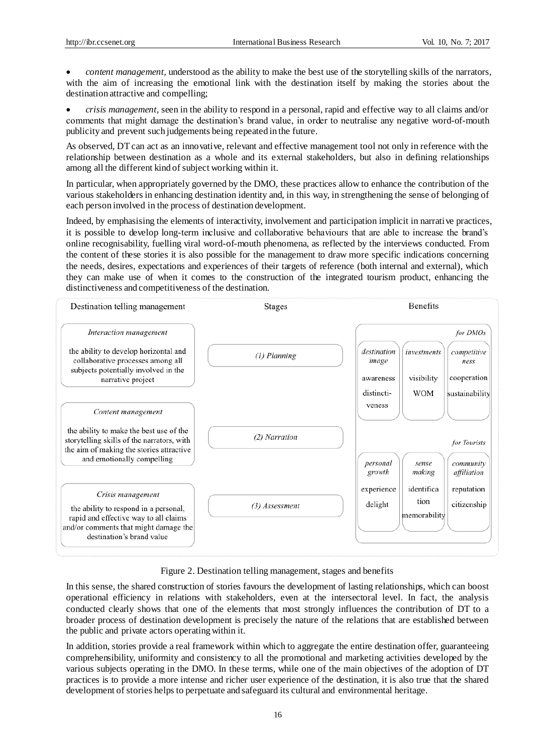*content management,* understood as the ability to make the best use of the storytelling skills of the narrators, with the aim of increasing the emotional link with the destination itself by making the stories about the destination attractive and compelling;

 *crisis management,* seen in the ability to respond in a personal, rapid and effective way to all claims and/or comments that might damage the destination's brand value, in order to neutralise any negative word-of-mouth publicity and prevent such judgements being repeated in the future.

As observed, DT can act as an innovative, relevant and effective management tool not only in reference with the relationship between destination as a whole and its external stakeholders, but also in defining relationships among all the different kind of subject working within it.

In particular, when appropriately governed by the DMO, these practices allow to enhance the contribution of the various stakeholders in enhancing destination identity and, in this way, in strengthening the sense of belonging of each person involved in the process of destination development.

Indeed, by emphasising the elements of interactivity, involvement and participation implicit in narrative practices, it is possible to develop long-term inclusive and collaborative behaviours that are able to increase the brand's online recognisability, fuelling viral word-of-mouth phenomena, as reflected by the interviews conducted. From the content of these stories it is also possible for the management to draw more specific indications concerning the needs, desires, expectations and experiences of their targets of reference (both internal and external), which they can make use of when it comes to the construction of the integrated tourism product, enhancing the distinctiveness and competitiveness of the destination.



Figure 2. Destination telling management, stages and benefits

In this sense, the shared construction of stories favours the development of lasting relationships, which can boost operational efficiency in relations with stakeholders, even at the intersectoral level. In fact, the analysis conducted clearly shows that one of the elements that most strongly influences the contribution of DT to a broader process of destination development is precisely the nature of the relations that are established between the public and private actors operating within it.

In addition, stories provide a real framework within which to aggregate the entire destination offer, guaranteeing comprehensibility, uniformity and consistency to all the promotional and marketing activities developed by the various subjects operating in the DMO. In these terms, while one of the main objectives of the adoption of DT practices is to provide a more intense and richer user experience of the destination, it is also true that the shared development of stories helps to perpetuate and safeguard its cultural and environmental heritage.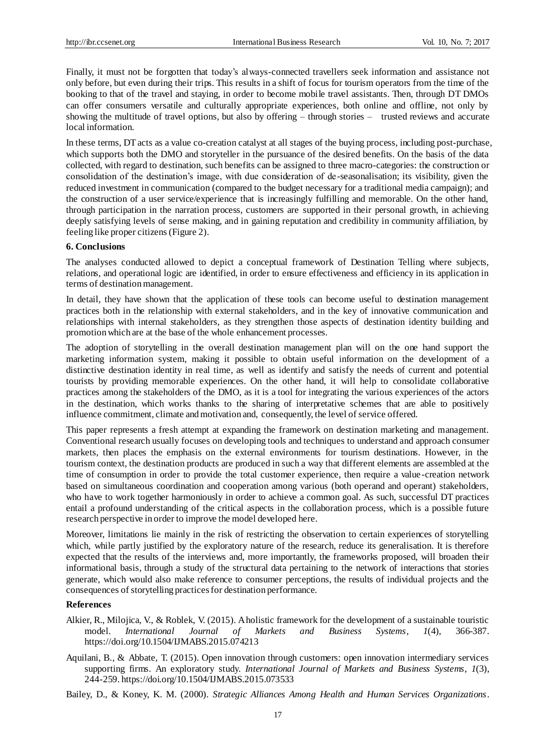Finally, it must not be forgotten that today's always-connected travellers seek information and assistance not only before, but even during their trips. This results in a shift of focus for tourism operators from the time of the booking to that of the travel and staying, in order to become mobile travel assistants. Then, through DT DMOs can offer consumers versatile and culturally appropriate experiences, both online and offline, not only by showing the multitude of travel options, but also by offering – through stories – trusted reviews and accurate local information.

In these terms, DT acts as a value co-creation catalyst at all stages of the buying process, including post-purchase, which supports both the DMO and storyteller in the pursuance of the desired benefits. On the basis of the data collected, with regard to destination, such benefits can be assigned to three macro-categories: the construction or consolidation of the destination's image, with due consideration of de-seasonalisation; its visibility, given the reduced investment in communication (compared to the budget necessary for a traditional media campaign); and the construction of a user service/experience that is increasingly fulfilling and memorable. On the other hand, through participation in the narration process, customers are supported in their personal growth, in achieving deeply satisfying levels of sense making, and in gaining reputation and credibility in community affiliation, by feeling like proper citizens (Figure 2).

### **6. Conclusions**

The analyses conducted allowed to depict a conceptual framework of Destination Telling where subjects, relations, and operational logic are identified, in order to ensure effectiveness and efficiency in its application in terms of destination management.

In detail, they have shown that the application of these tools can become useful to destination management practices both in the relationship with external stakeholders, and in the key of innovative communication and relationships with internal stakeholders, as they strengthen those aspects of destination identity building and promotion which are at the base of the whole enhancement processes.

The adoption of storytelling in the overall destination management plan will on the one hand support the marketing information system, making it possible to obtain useful information on the development of a distinctive destination identity in real time, as well as identify and satisfy the needs of current and potential tourists by providing memorable experiences. On the other hand, it will help to consolidate collaborative practices among the stakeholders of the DMO, as it is a tool for integrating the various experiences of the actors in the destination, which works thanks to the sharing of interpretative schemes that are able to positively influence commitment*,* climate and motivation and, consequently, the level of service offered.

This paper represents a fresh attempt at expanding the framework on destination marketing and management. Conventional research usually focuses on developing tools and techniques to understand and approach consumer markets, then places the emphasis on the external environments for tourism destinations. However, in the tourism context, the destination products are produced in such a way that different elements are assembled at the time of consumption in order to provide the total customer experience, then require a value-creation network based on simultaneous coordination and cooperation among various (both operand and operant) stakeholders, who have to work together harmoniously in order to achieve a common goal. As such, successful DT practices entail a profound understanding of the critical aspects in the collaboration process, which is a possible future research perspective in order to improve the model developed here.

Moreover, limitations lie mainly in the risk of restricting the observation to certain experiences of storytelling which, while partly justified by the exploratory nature of the research, reduce its generalisation. It is therefore expected that the results of the interviews and, more importantly, the frameworks proposed, will broaden their informational basis, through a study of the structural data pertaining to the network of interactions that stories generate, which would also make reference to consumer perceptions, the results of individual projects and the consequences of storytelling practices for destination performance.

#### **References**

- Alkier, R., Milojica, V., & Roblek, V. (2015). A holistic framework for the development of a sustainable touristic model. *International Journal of Markets and Business Systems*, *1*(4), 366-387. https://doi.org/10.1504/IJMABS.2015.074213
- Aquilani, B., & Abbate, T. (2015). Open innovation through customers: open innovation intermediary services supporting firms. An exploratory study. *International Journal of Markets and Business Systems*, *1*(3), 244-259. https://doi.org/10.1504/IJMABS.2015.073533

Bailey, D., & Koney, K. M. (2000). *Strategic Alliances Among Health and Human Services Organizations*.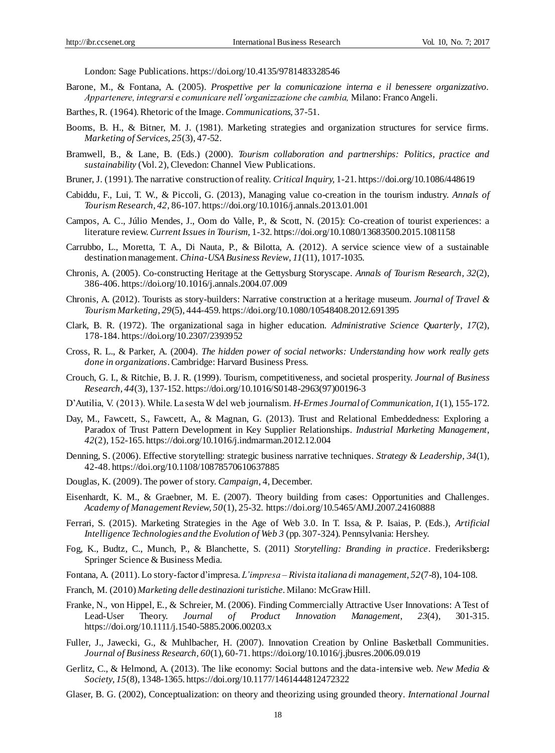London: Sage Publications. https://doi.org/10.4135/9781483328546

- Barone, M., & Fontana, A. (2005). *Prospettive per la comunicazione interna e il benessere organizzativo. Appartenere, integrarsi e comunicare nell'organizzazione che cambia,* Milano: Franco Angeli.
- Barthes, R. (1964). Rhetoric of the Image. *Communications,* 37-51.
- Booms, B. H., & Bitner, M. J. (1981). Marketing strategies and organization structures for service firms. *Marketing of Services*, *25*(3), 47-52.
- Bramwell, B., & Lane, B. (Eds.) (2000). *Tourism collaboration and partnerships: Politics, practice and sustainability* (Vol. 2), Clevedon: Channel View Publications.
- Bruner, J. (1991). The narrative construction of reality. *Critical Inquiry,* 1-21. https://doi.org/10.1086/448619
- Cabiddu, F., Lui, T. W., & Piccoli, G. (2013), Managing value co-creation in the tourism industry. *Annals of Tourism Research, 42,* 86-107. https://doi.org/10.1016/j.annals.2013.01.001
- Campos, A. C., Júlio Mendes, J., Oom do Valle, P., & Scott, N. (2015): Co-creation of tourist experiences: a literature review. *Current Issues in Tourism,* 1-32. https://doi.org/10.1080/13683500.2015.1081158
- Carrubbo, L., Moretta, T. A., Di Nauta, P., & Bilotta, A. (2012). A service science view of a sustainable destination management. *China-USA Business Review*, *11*(11), 1017-1035.
- Chronis, A. (2005). Co-constructing Heritage at the Gettysburg Storyscape. *Annals of Tourism Research, 32*(2), 386-406. https://doi.org/10.1016/j.annals.2004.07.009
- Chronis, A. (2012). Tourists as story-builders: Narrative construction at a heritage museum. *Journal of Travel & Tourism Marketing*, *29*(5), 444-459. https://doi.org/10.1080/10548408.2012.691395
- Clark, B. R. (1972). The organizational saga in higher education. *Administrative Science Quarterly*, *17*(2), 178-184. https://doi.org/10.2307/2393952
- Cross, R. L., & Parker, A. (2004). *The hidden power of social networks: Understanding how work really gets done in organizations*. Cambridge: Harvard Business Press.
- Crouch, G. I., & Ritchie, B. J. R. (1999). Tourism, competitiveness, and societal prosperity. *Journal of Business Research*, *44*(3), 137-152. https://doi.org/10.1016/S0148-2963(97)00196-3
- D'Autilia, V. (2013). While. La sesta W del web journalism. *H-Ermes Journal of Communication*, *1*(1), 155-172.
- Day, M., Fawcett, S., Fawcett, A., & Magnan, G. (2013). Trust and Relational Embeddedness: Exploring a Paradox of Trust Pattern Development in Key Supplier Relationships. *Industrial Marketing Management*, *42*(2), 152-165. https://doi.org/10.1016/j.indmarman.2012.12.004
- Denning, S. (2006). Effective storytelling: strategic business narrative techniques. *Strategy & Leadership, 34*(1), 42-48. https://doi.org/10.1108/10878570610637885
- Douglas, K. (2009). The power of story. *Campaign*, 4, December.
- Eisenhardt, K. M., & Graebner, M. E. (2007). Theory building from cases: Opportunities and Challenges. *Academy of Management Review, 50*(1), 25-32. https://doi.org/10.5465/AMJ.2007.24160888
- Ferrari, S. (2015). Marketing Strategies in the Age of Web 3.0. In T. Issa, & P. Isaias, P. (Eds.), *Artificial Intelligence Technologies and the Evolution of Web 3* (pp. 307-324). Pennsylvania: Hershey.
- Fog, K., Budtz, C., Munch, P., & Blanchette, S. (2011) *Storytelling: Branding in practice*. Frederiksberg**:**  Springer Science & Business Media.
- Fontana, A. (2011). Lo story-factor d'impresa. *L'impresa – Rivista italiana di management, 52*(7-8), 104-108.
- Franch, M. (2010) *Marketing delle destinazioni turistiche*. Milano: McGraw Hill.
- Franke, N., von Hippel, E., & Schreier, M. (2006). Finding Commercially Attractive User Innovations: A Test of Lead-User Theory. *Journal of Product Innovation Management*, *23*(4), 301-315. https://doi.org/10.1111/j.1540-5885.2006.00203.x
- Fuller, J., Jawecki, G., & Muhlbacher, H. (2007). Innovation Creation by Online Basketball Communities. *Journal of Business Research, 60*(1), 60-71. https://doi.org/10.1016/j.jbusres.2006.09.019
- Gerlitz, C., & Helmond, A. (2013). The like economy: Social buttons and the data-intensive web. *New Media & Society, 15*(8), 1348-1365. https://doi.org/10.1177/1461444812472322
- Glaser, B. G. (2002), Conceptualization: on theory and theorizing using grounded theory*. International Journal*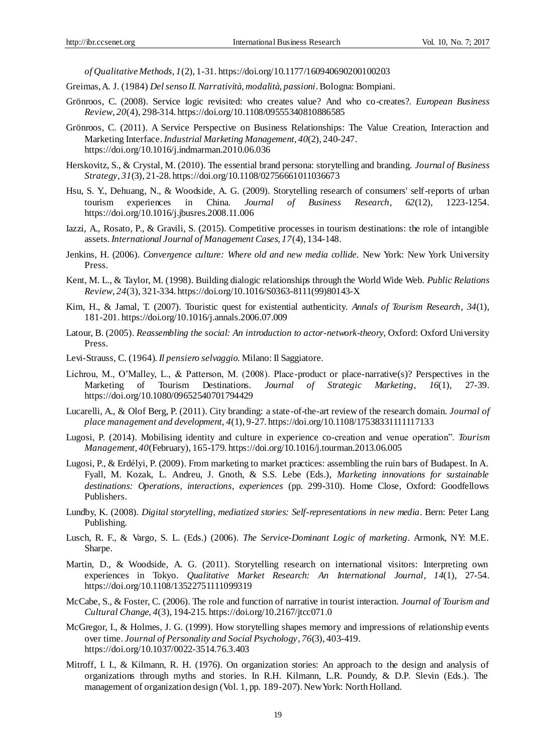*of Qualitative Methods, 1*(2), 1-31. https://doi.org/10.1177/160940690200100203

- Greimas, A. J. (1984) *Del senso II. Narratività, modalità, passioni*. Bologna: Bompiani.
- Grönroos, C. (2008). Service logic revisited: who creates value? And who co-creates?. *European Business Review*, *20*(4), 298-314. https://doi.org/10.1108/09555340810886585
- Grönroos, C. (2011). A Service Perspective on Business Relationships: The Value Creation, Interaction and Marketing Interface. *Industrial Marketing Management, 40*(2), 240-247. https://doi.org/10.1016/j.indmarman.2010.06.036
- Herskovitz, S., & Crystal, M. (2010). The essential brand persona: storytelling and branding. *Journal of Business Strategy*, *31*(3), 21-28. https://doi.org/10.1108/02756661011036673
- Hsu, S. Y., Dehuang, N., & Woodside, A. G. (2009). Storytelling research of consumers' self-reports of urban tourism experiences in China. *Journal of Business Research*, *62*(12), 1223-1254. https://doi.org/10.1016/j.jbusres.2008.11.006
- Iazzi, A., Rosato, P., & Gravili, S. (2015). Competitive processes in tourism destinations: the role of intangible assets. *International Journal of Management Cases, 17*(4), 134-148.
- Jenkins, H. (2006). *Convergence culture: Where old and new media collide.* New York: New York University Press.
- Kent, M. L., & Taylor, M. (1998). Building dialogic relationships through the World Wide Web. *Public Relations Review*, *24*(3), 321-334. https://doi.org/10.1016/S0363-8111(99)80143-X
- Kim, H., & Jamal, T. (2007). Touristic quest for existential authenticity. *Annals of Tourism Research*, *34*(1), 181-201. https://doi.org/10.1016/j.annals.2006.07.009
- Latour, B. (2005). *Reassembling the social: An introduction to actor-network-theory,* Oxford: Oxford University Press.
- Levi-Strauss, C. (1964). *Il pensiero selvaggio.* Milano: Il Saggiatore.
- Lichrou, M., O'Malley, L., & Patterson, M. (2008). Place-product or place-narrative(s)? Perspectives in the Marketing of Tourism Destinations. *Journal of Strategic Marketing*, *16*(1), 27-39. https://doi.org/10.1080/09652540701794429
- Lucarelli, A., & Olof Berg, P. (2011). City branding: a state-of-the-art review of the research domain. *Journal of place management and development, 4*(1), 9-27. https://doi.org/10.1108/17538331111117133
- Lugosi, P. (2014). Mobilising identity and culture in experience co-creation and venue operation". *Tourism Management*, *40*(February), 165-179. https://doi.org/10.1016/j.tourman.2013.06.005
- Lugosi, P., & Erdélyi, P. (2009). From marketing to market practices: assembling the ruin bars of Budapest. In A. Fyall, M. Kozak, L. Andreu, J. Gnoth, & S.S. Lebe (Eds.), *Marketing innovations for sustainable destinations: Operations, interactions, experiences* (pp. 299-310). Home Close, Oxford: Goodfellows Publishers.
- Lundby, K. (2008). *Digital storytelling, mediatized stories: Self-representations in new media*. Bern: Peter Lang Publishing.
- Lusch, R. F., & Vargo, S. L. (Eds.) (2006). *The Service-Dominant Logic of marketing*. Armonk, NY: M.E. Sharpe.
- Martin, D., & Woodside, A. G. (2011). Storytelling research on international visitors: Interpreting own experiences in Tokyo. *Qualitative Market Research: An International Journal*, *14*(1), 27-54. https://doi.org/10.1108/13522751111099319
- McCabe, S., & Foster, C. (2006). The role and function of narrative in tourist interaction. *Journal of Tourism and Cultural Change*, *4*(3), 194-215. https://doi.org/10.2167/jtcc071.0
- McGregor, I., & Holmes, J. G. (1999). How storytelling shapes memory and impressions of relationship events over time. *Journal of Personality and Social Psychology*, *76*(3), 403-419. https://doi.org/10.1037/0022-3514.76.3.403
- Mitroff, I. I., & Kilmann, R. H. (1976). On organization stories: An approach to the design and analysis of organizations through myths and stories. In R.H. Kilmann, L.R. Poundy, & D.P. Slevin (Eds.). The management of organization design (Vol. 1, pp. 189-207). New York: North Holland.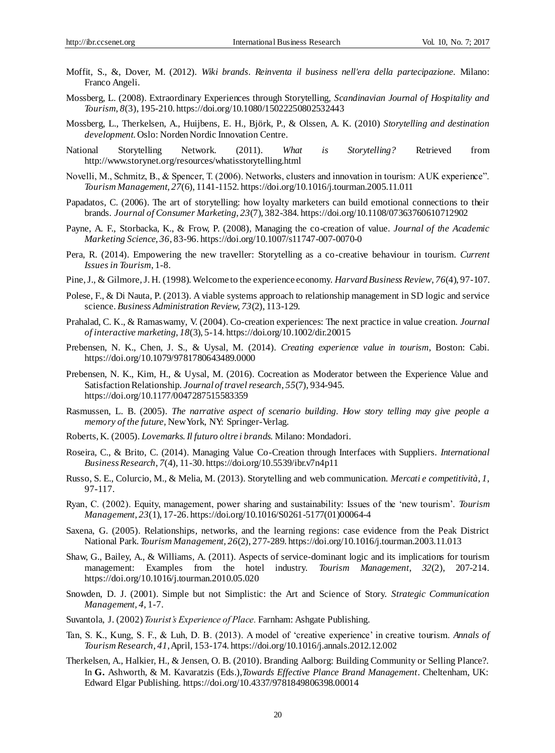- Moffit, S., &, Dover, M. (2012). *Wiki brands. Reinventa il business nell'era della partecipazione.* Milano: Franco Angeli.
- Mossberg, L. (2008). Extraordinary Experiences through Storytelling, *Scandinavian Journal of Hospitality and Tourism*, *8*(3), 195-210. https://doi.org/10.1080/15022250802532443
- Mossberg, L., Therkelsen, A., Huijbens, E. H., Björk, P., & Olssen, A. K. (2010) *Storytelling and destination development*. Oslo: Norden Nordic Innovation Centre.
- National Storytelling Network. (2011). *What is Storytelling?* Retrieved from <http://www.storynet.org/resources/whatisstorytelling.html>
- Novelli, M., Schmitz, B., & Spencer, T. (2006). Networks, clusters and innovation in tourism: A UK experience". *Tourism Management*, *27*(6), 1141-1152. https://doi.org/10.1016/j.tourman.2005.11.011
- Papadatos, C. (2006). The art of storytelling: how loyalty marketers can build emotional connections to their brands. *Journal of Consumer Marketing*, *23*(7), 382-384. https://doi.org/10.1108/07363760610712902
- Payne, A. F., Storbacka, K., & Frow, P. (2008), Managing the co-creation of value. *Journal of the Academic Marketing Science*, *36*, 83-96. https://doi.org/10.1007/s11747-007-0070-0
- Pera, R. (2014). Empowering the new traveller: Storytelling as a co-creative behaviour in tourism. *Current Issues in Tourism*, 1-8.
- Pine, J., & Gilmore, J. H. (1998). Welcome to the experience economy. *Harvard Business Review*, *76*(4), 97-107.
- Polese, F., & Di Nauta, P. (2013). A viable systems approach to relationship management in SD logic and service science. *Business Administration Review, 73*(2), 113-129.
- Prahalad, C. K., & Ramaswamy, V. (2004). Co-creation experiences: The next practice in value creation. *Journal of interactive marketing*, *18*(3), 5-14. https://doi.org/10.1002/dir.20015
- Prebensen, N. K., Chen, J. S., & Uysal, M. (2014). *Creating experience value in tourism*, Boston: Cabi. https://doi.org/10.1079/9781780643489.0000
- Prebensen, N. K., Kim, H., & Uysal, M. (2016). Cocreation as Moderator between the Experience Value and Satisfaction Relationship. *Journal of travel research*, *55*(7), 934-945. https://doi.org/10.1177/0047287515583359
- Rasmussen, L. B. (2005). *The narrative aspect of scenario building. How story telling may give people a memory of the future,* New York, NY: Springer-Verlag.
- Roberts, K. (2005). *Lovemarks. Il futuro oltre i brands.* Milano: Mondadori.
- Roseira, C., & Brito, C. (2014). Managing Value Co-Creation through Interfaces with Suppliers. *International Business Research*, *7*(4), 11-30. https://doi.org/10.5539/ibr.v7n4p11
- Russo, S. E., Colurcio, M., & Melia, M. (2013). Storytelling and web communication. *Mercati e competitività*, *1*, 97-117.
- Ryan, C. (2002). Equity, management, power sharing and sustainability: Issues of the 'new tourism'. *Tourism Management*, *23*(1), 17-26. https://doi.org/10.1016/S0261-5177(01)00064-4
- Saxena, G. (2005). Relationships, networks, and the learning regions: case evidence from the Peak District National Park. *Tourism Management, 26*(2), 277-289. https://doi.org/10.1016/j.tourman.2003.11.013
- Shaw, G., Bailey, A., & Williams, A. (2011). Aspects of service-dominant logic and its implications for tourism management: Examples from the hotel industry. *Tourism Management*, *32*(2), 207-214. https://doi.org/10.1016/j.tourman.2010.05.020
- Snowden, D. J. (2001). Simple but not Simplistic: the Art and Science of Story. *Strategic Communication Management, 4*, 1-7.
- Suvantola, J. (2002) *Tourist's Experience of Place.* Farnham: Ashgate Publishing.
- Tan, S. K., Kung, S. F., & Luh, D. B. (2013). A model of 'creative experience' in creative tourism. *Annals of Tourism Research*, *41*, April, 153-174. https://doi.org/10.1016/j.annals.2012.12.002
- Therkelsen, A., Halkier, H., & Jensen, O. B. (2010). Branding Aalborg: Building Community or Selling Plance?. In **G.** Ashworth, & M. Kavaratzis (Eds.),*Towards Effective Plance Brand Management*. Cheltenham, UK: Edward Elgar Publishing. https://doi.org/10.4337/9781849806398.00014